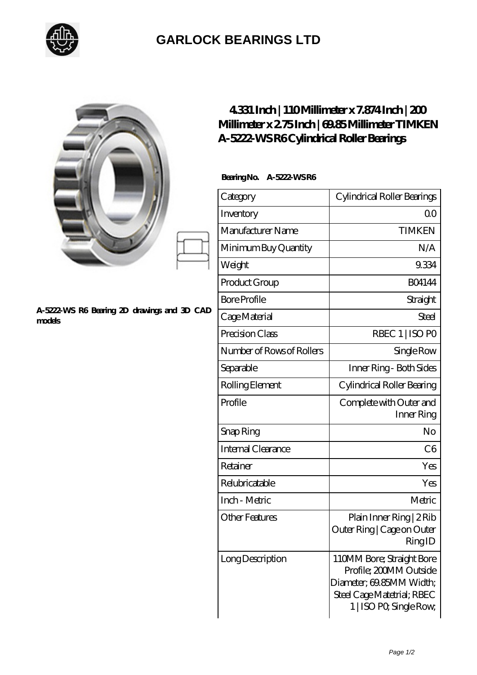

## **[GARLOCK BEARINGS LTD](https://m.letterstopriests.com)**

|                                                       | 4331 Inch   110Millimeter x 7.874 Inch   200<br>Millimeter x 275Inch   6985Millimeter TIMKEN<br>A-5222 WS R6C ylindrical Roller Bearings |                                                                                                                                          |
|-------------------------------------------------------|------------------------------------------------------------------------------------------------------------------------------------------|------------------------------------------------------------------------------------------------------------------------------------------|
| A-5222 WS R6 Bearing 2D drawings and 3D CAD<br>models | Bearing No. A-5222 WSR6                                                                                                                  |                                                                                                                                          |
|                                                       | Category                                                                                                                                 | Cylindrical Roller Bearings                                                                                                              |
|                                                       | Inventory                                                                                                                                | QO                                                                                                                                       |
|                                                       | Manufacturer Name                                                                                                                        | <b>TIMKEN</b>                                                                                                                            |
|                                                       | Minimum Buy Quantity                                                                                                                     | N/A                                                                                                                                      |
|                                                       | Weight                                                                                                                                   | 9334                                                                                                                                     |
|                                                       | Product Group                                                                                                                            | <b>BO4144</b>                                                                                                                            |
|                                                       | <b>Bore Profile</b>                                                                                                                      | Straight                                                                                                                                 |
|                                                       | Cage Material                                                                                                                            | Steel                                                                                                                                    |
|                                                       | Precision Class                                                                                                                          | RBEC 1   ISO PO                                                                                                                          |
|                                                       | Number of Rows of Rollers                                                                                                                | Single Row                                                                                                                               |
|                                                       | Separable                                                                                                                                | Inner Ring - Both Sides                                                                                                                  |
|                                                       | Rolling Element                                                                                                                          | Cylindrical Roller Bearing                                                                                                               |
|                                                       | Profile                                                                                                                                  | Complete with Outer and<br>Inner Ring                                                                                                    |
|                                                       | Snap Ring                                                                                                                                | N <sub>o</sub>                                                                                                                           |
|                                                       | Internal Clearance                                                                                                                       | C6                                                                                                                                       |
|                                                       | Retainer                                                                                                                                 | Yes                                                                                                                                      |
|                                                       | Relubricatable                                                                                                                           | Yes                                                                                                                                      |
|                                                       | Inch - Metric                                                                                                                            | Metric                                                                                                                                   |
|                                                       | <b>Other Features</b>                                                                                                                    | Plain Inner Ring   2 Rib<br>Outer Ring   Cage on Outer<br>RingID                                                                         |
|                                                       | Long Description                                                                                                                         | 110MM Bore; Straight Bore<br>Profile; 200MM Outside<br>Diameter; 69.85MM Width;<br>Steel Cage Matetrial; RBEC<br>1   ISO PO, Single Row, |